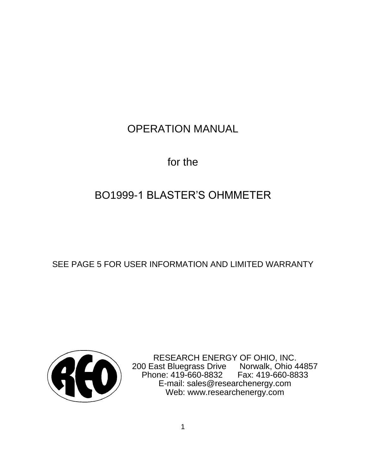## OPERATION MANUAL

for the

# BO1999-1 BLASTER'S OHMMETER

SEE PAGE 5 FOR USER INFORMATION AND LIMITED WARRANTY



RESEARCH ENERGY OF OHIO, INC. 200 East Bluegrass Drive Norwalk, Ohio 44857 Phone: 419-660-8832 Fax: 419-660-8833 E-mail: sales@researchenergy.com Web: www.researchenergy.com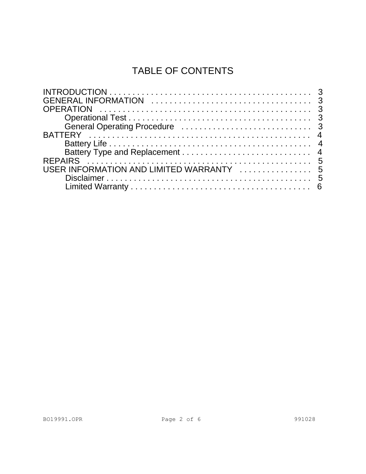## TABLE OF CONTENTS

| USER INFORMATION AND LIMITED WARRANTY  5 |  |
|------------------------------------------|--|
|                                          |  |
|                                          |  |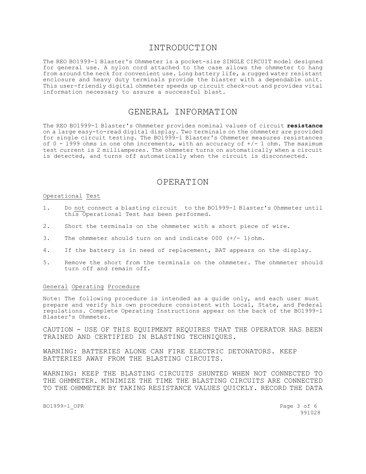## INTRODUCTION

The REO BO1999-1 Blaster's Ohmmeter is a pocket-size SINGLE CIRCUIT model designed for general use. A nylon cord attached to the case allows the ohmmeter to hang from around the neck for convenient use. Long battery life, a rugged water resistant enclosure and heavy duty terminals provide the blaster with a dependable unit. This user-friendly digital ohmmeter speeds up circuit check-out and provides vital information necessary to assure a successful blast.

## GENERAL INFORMATION

The REO BO1999-1 Blaster's Ohmmeter provides nominal values of circuit **resistance** on a large easy-to-read digital display. Two terminals on the ohmmeter are provided for single circuit testing. The BO1999-1 Blaster's Ohmmeter measures resistances of  $0 - 1999$  ohms in one ohm increments, with an accuracy of  $+/- 1$  ohm. The maximum test current is 2 milliamperes. The ohmmeter turns on automatically when a circuit is detected, and turns off automatically when the circuit is disconnected.

## OPERATION

#### Operational Test

- 1. Do not connect a blasting circuit to the BO1999-1 Blaster's Ohmmeter until this Operational Test has been performed.
- 2. Short the terminals on the ohmmeter with a short piece of wire.
- 3. The ohmmeter should turn on and indicate 000 (+/- 1)ohm.
- 4. If the battery is in need of replacement, BAT appears on the display.
- 5. Remove the short from the terminals on the ohmmeter. The ohmmeter should turn off and remain off.

#### General Operating Procedure

Note: The following procedure is intended as a guide only, and each user must prepare and verify his own procedure consistent with Local, State, and Federal regulations. Complete Operating Instructions appear on the back of the BO1999-1 Blaster's Ohmmeter.

CAUTION - USE OF THIS EQUIPMENT REQUIRES THAT THE OPERATOR HAS BEEN TRAINED AND CERTIFIED IN BLASTING TECHNIQUES.

WARNING: BATTERIES ALONE CAN FIRE ELECTRIC DETONATORS. KEEP BATTERIES AWAY FROM THE BLASTING CIRCUITS.

WARNING: KEEP THE BLASTING CIRCUITS SHUNTED WHEN NOT CONNECTED TO THE OHMMETER. MINIMIZE THE TIME THE BLASTING CIRCUITS ARE CONNECTED TO THE OHMMETER BY TAKING RESISTANCE VALUES QUICKLY. RECORD THE DATA

BO1999-1 OPR Page 3 of 6

991028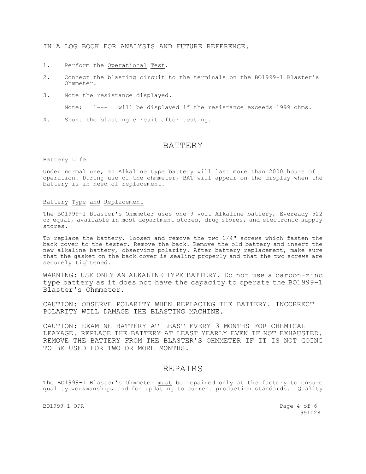IN A LOG BOOK FOR ANALYSIS AND FUTURE REFERENCE.

- 1. Perform the Operational Test.
- 2. Connect the blasting circuit to the terminals on the BO1999-1 Blaster's Ohmmeter.
- 3. Note the resistance displayed.

Note: 1--- will be displayed if the resistance exceeds 1999 ohms.

4. Shunt the blasting circuit after testing.

## BATTERY

#### Battery Life

Under normal use, an Alkaline type battery will last more than 2000 hours of operation. During use of the ohmmeter, BAT will appear on the display when the battery is in need of replacement.

#### Battery Type and Replacement

The BO1999-1 Blaster's Ohmmeter uses one 9 volt Alkaline battery, Eveready 522 or equal, available in most department stores, drug stores, and electronic supply stores.

To replace the battery, loosen and remove the two 1/4" screws which fasten the back cover to the tester. Remove the back. Remove the old battery and insert the new alkaline battery, observing polarity. After battery replacement, make sure that the gasket on the back cover is sealing properly and that the two screws are securely tightened.

WARNING: USE ONLY AN ALKALINE TYPE BATTERY. Do not use a carbon-zinc type battery as it does not have the capacity to operate the BO1999-1 Blaster's Ohmmeter.

CAUTION: OBSERVE POLARITY WHEN REPLACING THE BATTERY. INCORRECT POLARITY WILL DAMAGE THE BLASTING MACHINE.

CAUTION: EXAMINE BATTERY AT LEAST EVERY 3 MONTHS FOR CHEMICAL LEAKAGE. REPLACE THE BATTERY AT LEAST YEARLY EVEN IF NOT EXHAUSTED. REMOVE THE BATTERY FROM THE BLASTER'S OHMMETER IF IT IS NOT GOING TO BE USED FOR TWO OR MORE MONTHS.

## REPAIRS

The BO1999-1 Blaster's Ohmmeter must be repaired only at the factory to ensure quality workmanship, and for updating to current production standards. Quality

BO1999-1 OPR Page 4 of 6 991028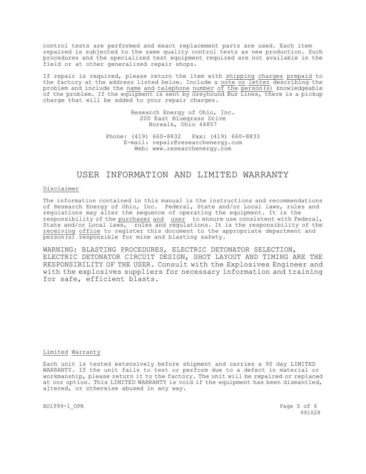control tests are performed and exact replacement parts are used. Each item repaired is subjected to the same quality control tests as new production. Such procedures and the specialized test equipment required are not available in the field or at other generalized repair shops.

If repair is required, please return the item with shipping charges prepaid to the factory at the address listed below. Include a note or letter describing the problem and include the name and telephone number of the  $\overline{person(s)}$  knowledgeable of the problem. If the equipment is sent by Greyhound Bus Lines, there is a pickup charge that will be added to your repair charges.

> Research Energy of Ohio, Inc. 200 East Bluegrass Drive Norwalk, Ohio 44857

Phone: (419) 660-8832 Fax: (419) 660-8833 E-mail: repair@researchenergy.com Web: www.researchenergy.com

## USER INFORMATION AND LIMITED WARRANTY

#### Disclaimer

The information contained in this manual is the instructions and recommendations of Research Energy of Ohio, Inc. Federal, State and/or Local laws, rules and regulations may alter the sequence of operating the equipment. It is the responsibility of the purchaser and user to ensure use consistent with Federal, State and/or Local laws, rules and regulations. It is the responsibility of the receiving office to register this document to the appropriate department and  $\overline{\text{person}(s)}$  responsible for mine and blasting safety.

WARNING: BLASTING PROCEDURES, ELECTRIC DETONATOR SELECTION, ELECTRIC DETONATOR CIRCUIT DESIGN, SHOT LAYOUT AND TIMING ARE THE RESPONSIBILITY OF THE USER. Consult with the Explosives Engineer and with the explosives suppliers for necessary information and training for safe, efficient blasts.

#### Limited Warranty

Each unit is tested extensively before shipment and carries a 90 day LIMITED WARRANTY. If the unit fails to test or perform due to a defect in material or workmanship, please return it to the factory. The unit will be repaired or replaced at our option. This LIMITED WARRANTY is void if the equipment has been dismantled, altered, or otherwise abused in any way.

BO1999-1 OPR Page 5 of 6 991028